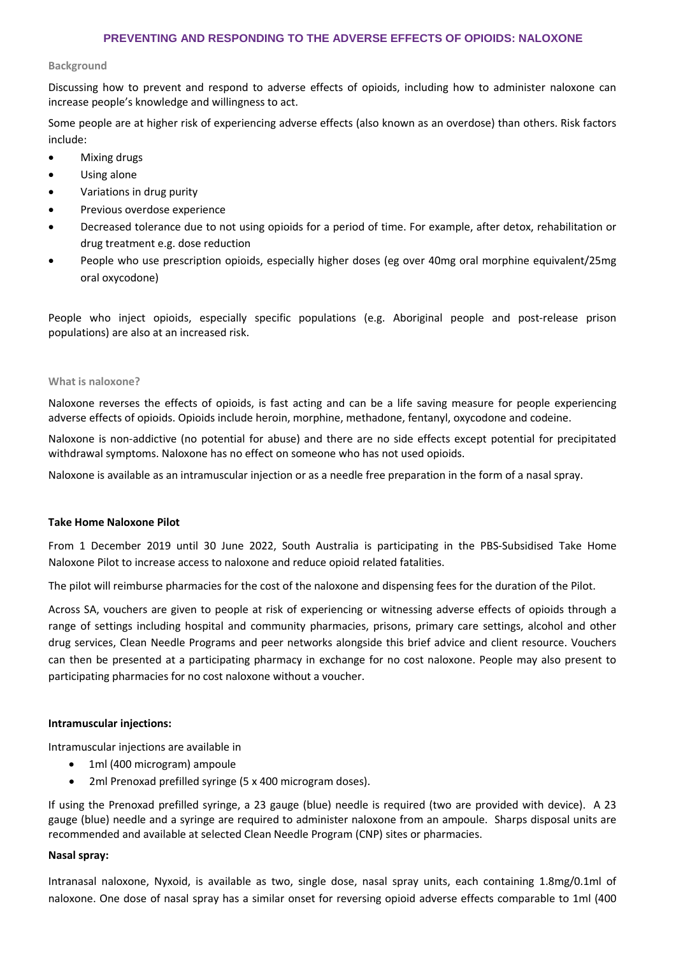### **PREVENTING AND RESPONDING TO THE ADVERSE EFFECTS OF OPIOIDS: NALOXONE**

#### **Background**

Discussing how to prevent and respond to adverse effects of opioids, including how to administer naloxone can increase people's knowledge and willingness to act.

Some people are at higher risk of experiencing adverse effects (also known as an overdose) than others. Risk factors include:

- Mixing drugs
- Using alone
- Variations in drug purity
- Previous overdose experience
- Decreased tolerance due to not using opioids for a period of time. For example, after detox, rehabilitation or drug treatment e.g. dose reduction
- People who use prescription opioids, especially higher doses (eg over 40mg oral morphine equivalent/25mg oral oxycodone)

People who inject opioids, especially specific populations (e.g. Aboriginal people and post-release prison populations) are also at an increased risk.

### **What is naloxone?**

Naloxone reverses the effects of opioids, is fast acting and can be a life saving measure for people experiencing adverse effects of opioids. Opioids include heroin, morphine, methadone, fentanyl, oxycodone and codeine.

Naloxone is non-addictive (no potential for abuse) and there are no side effects except potential for precipitated withdrawal symptoms. Naloxone has no effect on someone who has not used opioids.

Naloxone is available as an intramuscular injection or as a needle free preparation in the form of a nasal spray.

### **Take Home Naloxone Pilot**

From 1 December 2019 until 30 June 2022, South Australia is participating in the PBS-Subsidised Take Home Naloxone Pilot to increase access to naloxone and reduce opioid related fatalities.

The pilot will reimburse pharmacies for the cost of the naloxone and dispensing fees for the duration of the Pilot.

Across SA, vouchers are given to people at risk of experiencing or witnessing adverse effects of opioids through a range of settings including hospital and community pharmacies, prisons, primary care settings, alcohol and other drug services, Clean Needle Programs and peer networks alongside this brief advice and client resource. Vouchers can then be presented at a participating pharmacy in exchange for no cost naloxone. People may also present to participating pharmacies for no cost naloxone without a voucher.

### **Intramuscular injections:**

Intramuscular injections are available in

- 1ml (400 microgram) ampoule
- 2ml Prenoxad prefilled syringe (5 x 400 microgram doses).

If using the Prenoxad prefilled syringe, a 23 gauge (blue) needle is required (two are provided with device). A 23 gauge (blue) needle and a syringe are required to administer naloxone from an ampoule. Sharps disposal units are recommended and available at selected Clean Needle Program (CNP) sites or pharmacies.

### **Nasal spray:**

Intranasal naloxone, Nyxoid, is available as two, single dose, nasal spray units, each containing 1.8mg/0.1ml of naloxone. One dose of nasal spray has a similar onset for reversing opioid adverse effects comparable to 1ml (400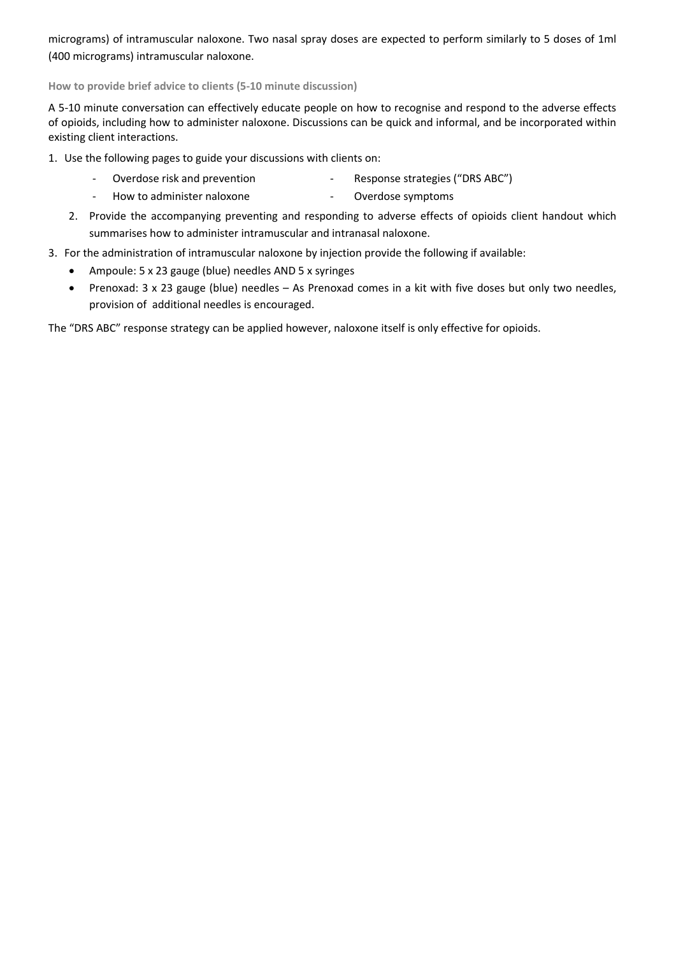micrograms) of intramuscular naloxone. Two nasal spray doses are expected to perform similarly to 5 doses of 1ml (400 micrograms) intramuscular naloxone.

**How to provide brief advice to clients (5-10 minute discussion)**

A 5-10 minute conversation can effectively educate people on how to recognise and respond to the adverse effects of opioids, including how to administer naloxone. Discussions can be quick and informal, and be incorporated within existing client interactions.

1. Use the following pages to guide your discussions with clients on:

- Overdose risk and prevention Theory Chassis of Response strategies ("DRS ABC")
- How to administer naloxone **can be a set of the UV** Overdose symptoms
- 2. Provide the accompanying preventing and responding to adverse effects of opioids client handout which summarises how to administer intramuscular and intranasal naloxone.
- 3. For the administration of intramuscular naloxone by injection provide the following if available:
	- Ampoule: 5 x 23 gauge (blue) needles AND 5 x syringes
	- Prenoxad: 3 x 23 gauge (blue) needles As Prenoxad comes in a kit with five doses but only two needles, provision of additional needles is encouraged.

The "DRS ABC" response strategy can be applied however, naloxone itself is only effective for opioids.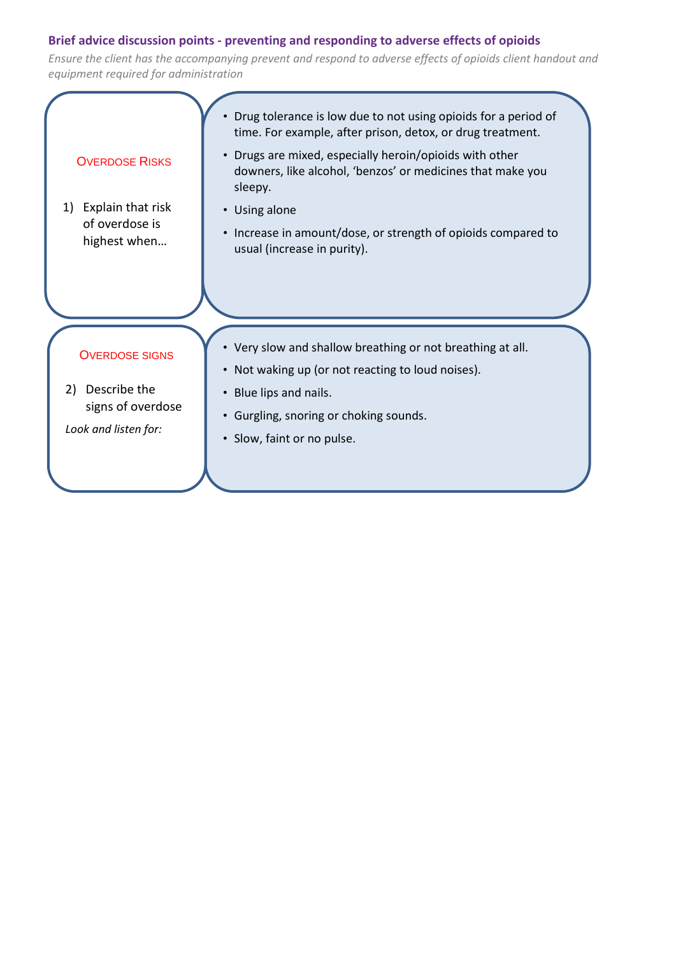# **Brief advice discussion points - preventing and responding to adverse effects of opioids**

*Ensure the client has the accompanying prevent and respond to adverse effects of opioids client handout and equipment required for administration*

| <b>OVERDOSE RISKS</b>                                                                    | Drug tolerance is low due to not using opioids for a period of<br>time. For example, after prison, detox, or drug treatment.<br>Drugs are mixed, especially heroin/opioids with other<br>$\bullet$<br>downers, like alcohol, 'benzos' or medicines that make you<br>sleepy. |
|------------------------------------------------------------------------------------------|-----------------------------------------------------------------------------------------------------------------------------------------------------------------------------------------------------------------------------------------------------------------------------|
| Explain that risk<br>1)<br>of overdose is<br>highest when                                | Using alone<br>$\bullet$<br>Increase in amount/dose, or strength of opioids compared to<br>$\bullet$<br>usual (increase in purity).                                                                                                                                         |
| <b>OVERDOSE SIGNS</b><br>Describe the<br>2)<br>signs of overdose<br>Look and listen for: | • Very slow and shallow breathing or not breathing at all.<br>• Not waking up (or not reacting to loud noises).<br>Blue lips and nails.<br>$\bullet$<br>Gurgling, snoring or choking sounds.<br>• Slow, faint or no pulse.                                                  |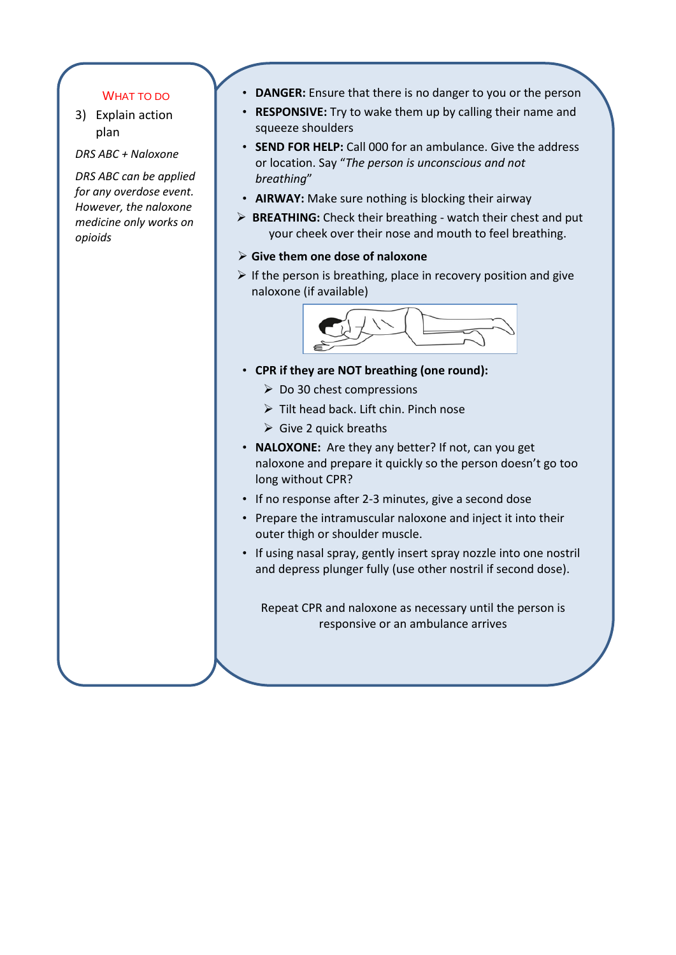# WHAT TO DO

3) Explain action plan

*DRS ABC + Naloxone*

*DRS ABC can be applied for any overdose event. However, the naloxone medicine only works on opioids*

- **DANGER:** Ensure that there is no danger to you or the person
- **RESPONSIVE:** Try to wake them up by calling their name and squeeze shoulders
- **SEND FOR HELP:** Call 000 for an ambulance. Give the address or location. Say "*The person is unconscious and not breathing*"
- **AIRWAY:** Make sure nothing is blocking their airway
- **BREATHING:** Check their breathing watch their chest and put your cheek over their nose and mouth to feel breathing.
- **Give them one dose of naloxone**
- $\triangleright$  If the person is breathing, place in recovery position and give naloxone (if available)



- **CPR if they are NOT breathing (one round):**
	- $\triangleright$  Do 30 chest compressions
	- $\triangleright$  Tilt head back. Lift chin. Pinch nose
	- $\triangleright$  Give 2 quick breaths
- **NALOXONE:** Are they any better? If not, can you get naloxone and prepare it quickly so the person doesn't go too long without CPR?
- If no response after 2-3 minutes, give a second dose
- Prepare the intramuscular naloxone and inject it into their outer thigh or shoulder muscle.
- If using nasal spray, gently insert spray nozzle into one nostril and depress plunger fully (use other nostril if second dose).

Repeat CPR and naloxone as necessary until the person is responsive or an ambulance arrives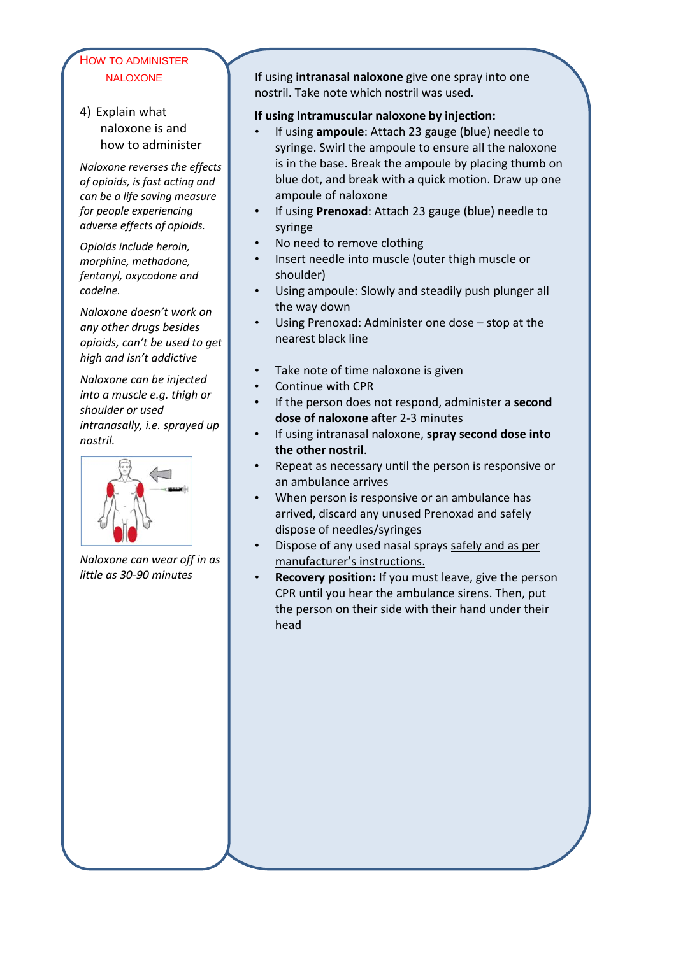## HOW TO ADMINISTER NALOXONE

4) Explain what naloxone is and how to administer

*Naloxone reverses the effects of opioids, is fast acting and can be a life saving measure for people experiencing adverse effects of opioids.* 

*Opioids include heroin, morphine, methadone, fentanyl, oxycodone and codeine.*

*Naloxone doesn't work on any other drugs besides opioids, can't be used to get high and isn't addictive*

*Naloxone can be injected into a muscle e.g. thigh or shoulder or used intranasally, i.e. sprayed up nostril.*



*Naloxone can wear off in as little as 30-90 minutes*

If using **intranasal naloxone** give one spray into one nostril. Take note which nostril was used.

### **If using Intramuscular naloxone by injection:**

- If using **ampoule**: Attach 23 gauge (blue) needle to syringe. Swirl the ampoule to ensure all the naloxone is in the base. Break the ampoule by placing thumb on blue dot, and break with a quick motion. Draw up one ampoule of naloxone
- If using **Prenoxad**: Attach 23 gauge (blue) needle to syringe
- No need to remove clothing
- Insert needle into muscle (outer thigh muscle or shoulder)
- Using ampoule: Slowly and steadily push plunger all the way down
- Using Prenoxad: Administer one dose stop at the nearest black line
- Take note of time naloxone is given
- Continue with CPR
- If the person does not respond, administer a **second dose of naloxone** after 2-3 minutes
- If using intranasal naloxone, **spray second dose into the other nostril**.
- Repeat as necessary until the person is responsive or an ambulance arrives
- When person is responsive or an ambulance has arrived, discard any unused Prenoxad and safely dispose of needles/syringes
- Dispose of any used nasal sprays safely and as per manufacturer's instructions.
- **Recovery position:** If you must leave, give the person CPR until you hear the ambulance sirens. Then, put the person on their side with their hand under their head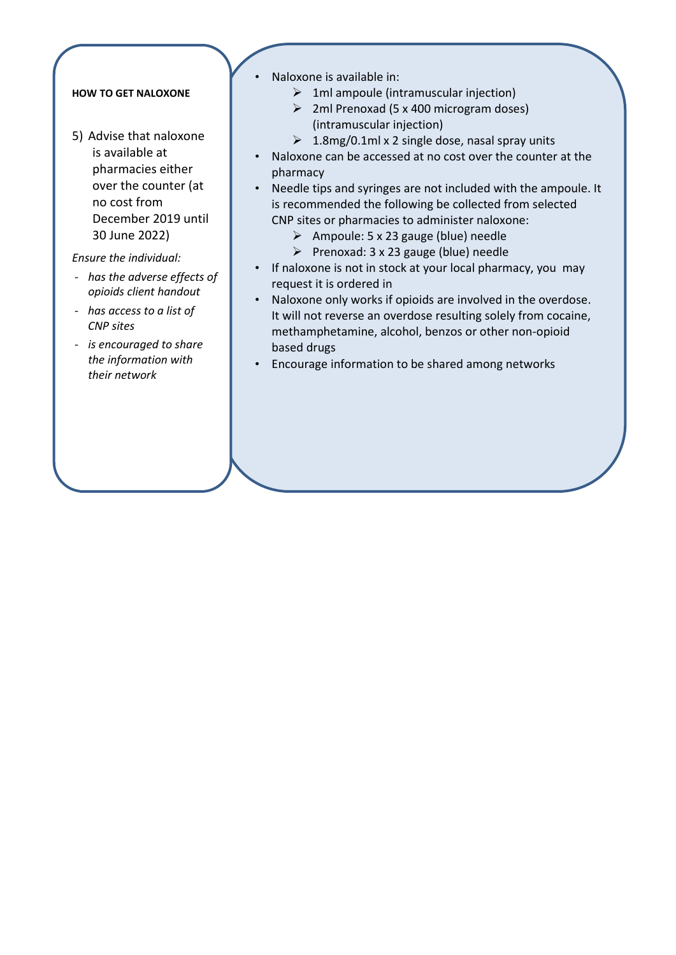### **HOW TO GET NALOXONE**

5) Advise that naloxone is available at pharmacies either over the counter (at no cost from December 2019 until 30 June 2022)

*Ensure the individual:*

- *has the adverse effects of opioids client handout*
- *has access to a list of CNP sites*
- *is encouraged to share the information with their network*
- Naloxone is available in:
	- $\geq 1$ ml ampoule (intramuscular injection)
	- $\geq$  2ml Prenoxad (5 x 400 microgram doses) (intramuscular injection)
	- $\geq 1.8$ mg/0.1ml x 2 single dose, nasal spray units
- Naloxone can be accessed at no cost over the counter at the pharmacy
- Needle tips and syringes are not included with the ampoule. It is recommended the following be collected from selected CNP sites or pharmacies to administer naloxone:
	- $\triangleright$  Ampoule: 5 x 23 gauge (blue) needle
	- Prenoxad:  $3 \times 23$  gauge (blue) needle
- If naloxone is not in stock at your local pharmacy, you may request it is ordered in
- Naloxone only works if opioids are involved in the overdose. It will not reverse an overdose resulting solely from cocaine, methamphetamine, alcohol, benzos or other non-opioid based drugs
- Encourage information to be shared among networks